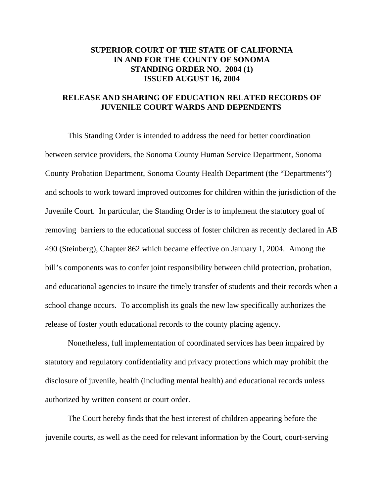## **SUPERIOR COURT OF THE STATE OF CALIFORNIA IN AND FOR THE COUNTY OF SONOMA STANDING ORDER NO. 2004 (1) ISSUED AUGUST 16, 2004**

## **RELEASE AND SHARING OF EDUCATION RELATED RECORDS OF JUVENILE COURT WARDS AND DEPENDENTS**

This Standing Order is intended to address the need for better coordination between service providers, the Sonoma County Human Service Department, Sonoma County Probation Department, Sonoma County Health Department (the "Departments") and schools to work toward improved outcomes for children within the jurisdiction of the Juvenile Court. In particular, the Standing Order is to implement the statutory goal of removing barriers to the educational success of foster children as recently declared in AB 490 (Steinberg), Chapter 862 which became effective on January 1, 2004. Among the bill's components was to confer joint responsibility between child protection, probation, and educational agencies to insure the timely transfer of students and their records when a school change occurs. To accomplish its goals the new law specifically authorizes the release of foster youth educational records to the county placing agency.

Nonetheless, full implementation of coordinated services has been impaired by statutory and regulatory confidentiality and privacy protections which may prohibit the disclosure of juvenile, health (including mental health) and educational records unless authorized by written consent or court order.

The Court hereby finds that the best interest of children appearing before the juvenile courts, as well as the need for relevant information by the Court, court-serving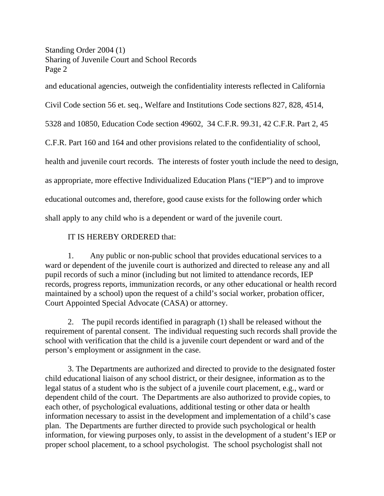Standing Order 2004 (1) Sharing of Juvenile Court and School Records Page 2

and educational agencies, outweigh the confidentiality interests reflected in California

Civil Code section 56 et. seq., Welfare and Institutions Code sections 827, 828, 4514,

5328 and 10850, Education Code section 49602, 34 C.F.R. 99.31, 42 C.F.R. Part 2, 45

C.F.R. Part 160 and 164 and other provisions related to the confidentiality of school,

health and juvenile court records. The interests of foster youth include the need to design,

as appropriate, more effective Individualized Education Plans ("IEP") and to improve

educational outcomes and, therefore, good cause exists for the following order which

shall apply to any child who is a dependent or ward of the juvenile court.

## IT IS HEREBY ORDERED that:

1. Any public or non-public school that provides educational services to a ward or dependent of the juvenile court is authorized and directed to release any and all pupil records of such a minor (including but not limited to attendance records, IEP records, progress reports, immunization records, or any other educational or health record maintained by a school) upon the request of a child's social worker, probation officer, Court Appointed Special Advocate (CASA) or attorney.

2. The pupil records identified in paragraph (1) shall be released without the requirement of parental consent. The individual requesting such records shall provide the school with verification that the child is a juvenile court dependent or ward and of the person's employment or assignment in the case.

3. The Departments are authorized and directed to provide to the designated foster child educational liaison of any school district, or their designee, information as to the legal status of a student who is the subject of a juvenile court placement, e.g., ward or dependent child of the court. The Departments are also authorized to provide copies, to each other, of psychological evaluations, additional testing or other data or health information necessary to assist in the development and implementation of a child's case plan. The Departments are further directed to provide such psychological or health information, for viewing purposes only, to assist in the development of a student's IEP or proper school placement, to a school psychologist. The school psychologist shall not